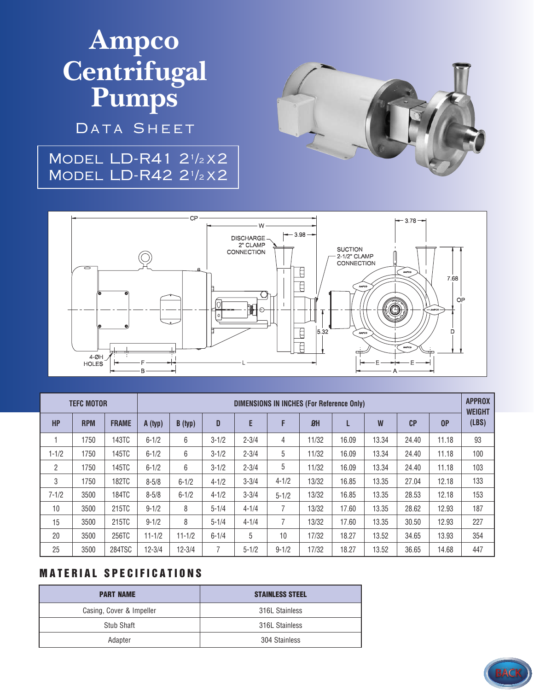# Ampco Centrifugal<br>Pumps

DATA SHEET

### **MODEL LD-R41 21/2X2 MODEL LD-R42 21/2X2**





| <b>TEFC MOTOR</b> |            |              | <b>DIMENSIONS IN INCHES (For Reference Only)</b> |            |           |           |           |                |       |       |                |                | <b>APPROX</b><br><b>WEIGHT</b> |
|-------------------|------------|--------------|--------------------------------------------------|------------|-----------|-----------|-----------|----------------|-------|-------|----------------|----------------|--------------------------------|
| <b>HP</b>         | <b>RPM</b> | <b>FRAME</b> | A (typ)                                          | B (typ)    | D         | E         | F         | B <sub>H</sub> |       | W     | C <sub>P</sub> | 0 <sup>P</sup> | (LBS)                          |
|                   | 1750       | 143TC        | $6 - 1/2$                                        | 6          | $3 - 1/2$ | $2 - 3/4$ | 4         | 11/32          | 16.09 | 13.34 | 24.40          | 11.18          | 93                             |
| $1 - 1/2$         | 1750       | 145TC        | $6 - 1/2$                                        | 6          | $3 - 1/2$ | $2 - 3/4$ | 5         | 11/32          | 16.09 | 13.34 | 24.40          | 11.18          | 100                            |
| 2                 | 1750       | 145TC        | $6 - 1/2$                                        | 6          | $3 - 1/2$ | $2 - 3/4$ | 5         | 11/32          | 16.09 | 13.34 | 24.40          | 11.18          | 103                            |
| 3                 | 1750       | 182TC        | $8 - 5/8$                                        | $6 - 1/2$  | $4 - 1/2$ | $3 - 3/4$ | $4 - 1/2$ | 13/32          | 16.85 | 13.35 | 27.04          | 12.18          | 133                            |
| $7 - 1/2$         | 3500       | 184TC        | $8 - 5/8$                                        | $6 - 1/2$  | $4 - 1/2$ | $3 - 3/4$ | $5 - 1/2$ | 13/32          | 16.85 | 13.35 | 28.53          | 12.18          | 153                            |
| 10                | 3500       | 215TC        | $9 - 1/2$                                        | 8          | $5 - 1/4$ | $4 - 1/4$ | 7         | 13/32          | 17.60 | 13.35 | 28.62          | 12.93          | 187                            |
| 15                | 3500       | 215TC        | $9 - 1/2$                                        | 8          | $5 - 1/4$ | $4 - 1/4$ | 7         | 13/32          | 17.60 | 13.35 | 30.50          | 12.93          | 227                            |
| 20                | 3500       | 256TC        | $11 - 1/2$                                       | $11 - 1/2$ | $6 - 1/4$ | 5         | 10        | 17/32          | 18.27 | 13.52 | 34.65          | 13.93          | 354                            |
| 25                | 3500       | 284TSC       | $12 - 3/4$                                       | $12 - 3/4$ | 7         | $5 - 1/2$ | $9 - 1/2$ | 17/32          | 18.27 | 13.52 | 36.65          | 14.68          | 447                            |

#### **MATERIAL SPECIFICATIONS**

| <b>PART NAME</b>         | <b>STAINLESS STEEL</b> |  |  |  |
|--------------------------|------------------------|--|--|--|
| Casing, Cover & Impeller | 316L Stainless         |  |  |  |
| Stub Shaft               | 316L Stainless         |  |  |  |
| Adapter                  | 304 Stainless          |  |  |  |